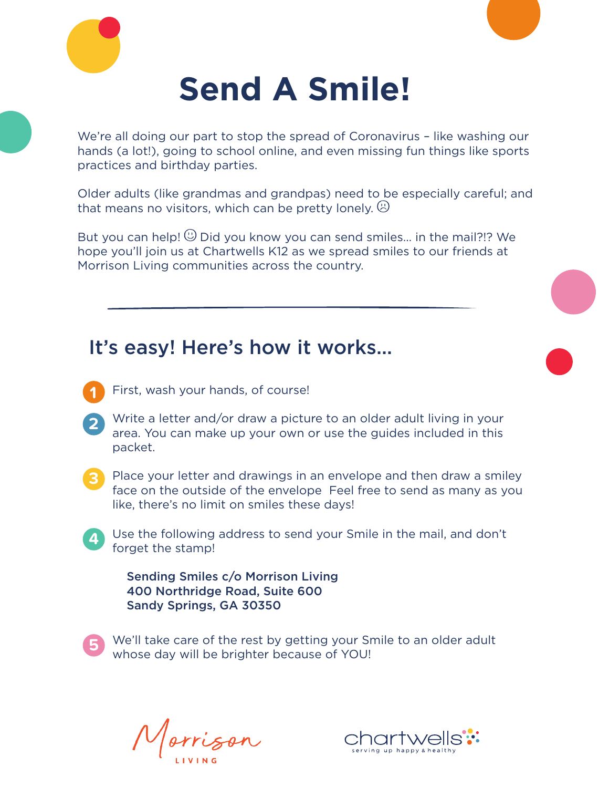



We're all doing our part to stop the spread of Coronavirus – like washing our hands (a lot!), going to school online, and even missing fun things like sports practices and birthday parties.

Older adults (like grandmas and grandpas) need to be especially careful; and that means no visitors, which can be pretty lonely.  $\circledcirc$ 

But you can help!  $\mathbb{O}$  Did you know you can send smiles... in the mail?!? We hope you'll join us at Chartwells K12 as we spread smiles to our friends at Morrison Living communities across the country.

## It's easy! Here's how it works…

- First, wash your hands, of course! **1**
- Write a letter and/or draw a picture to an older adult living in your area. You can make up your own or use the guides included in this packet. **2**
- **3**

**4**

Place your letter and drawings in an envelope and then draw a smiley face on the outside of the envelope Feel free to send as many as you like, there's no limit on smiles these days!

Use the following address to send your Smile in the mail, and don't forget the stamp!

Sending Smiles c/o Morrison Living 400 Northridge Road, Suite 600 Sandy Springs, GA 30350



We'll take care of the rest by getting your Smile to an older adult whose day will be brighter because of YOU!

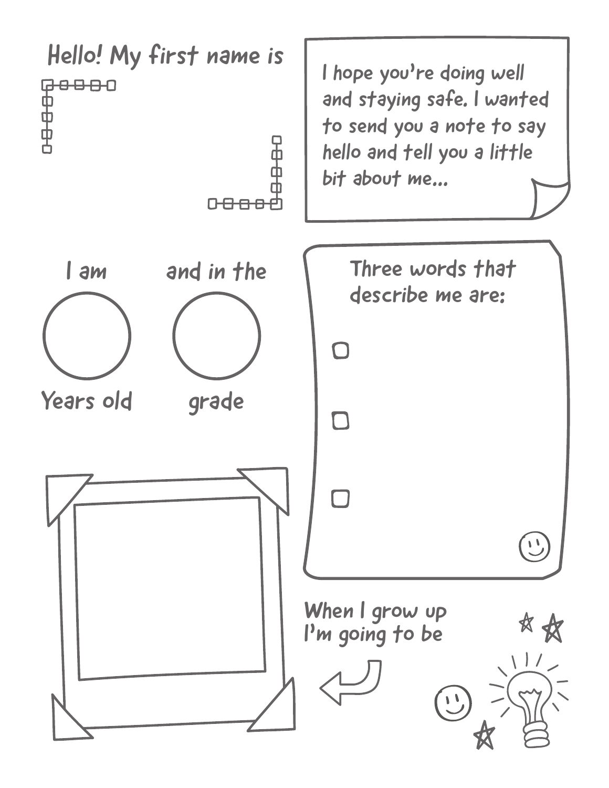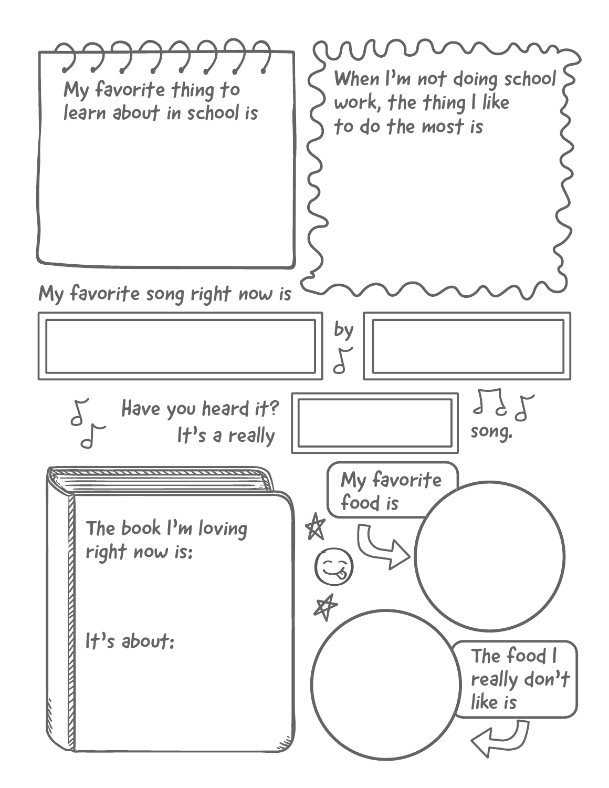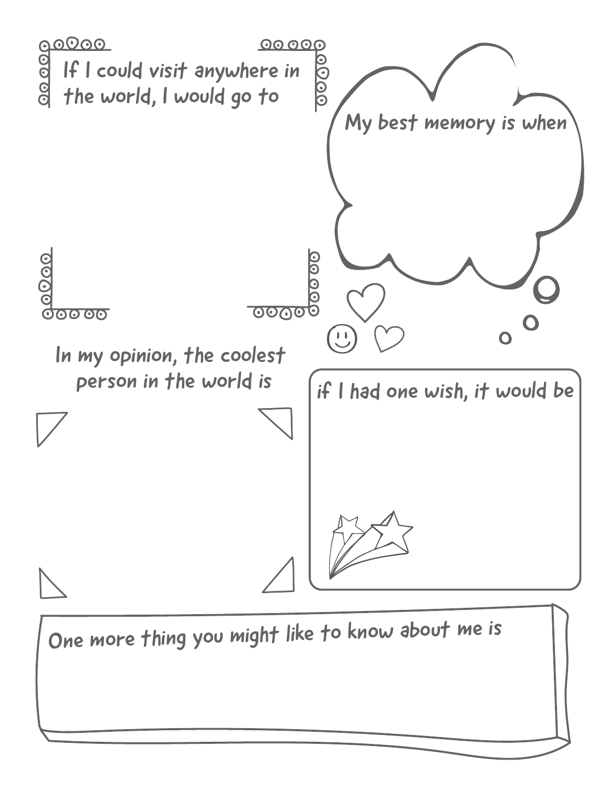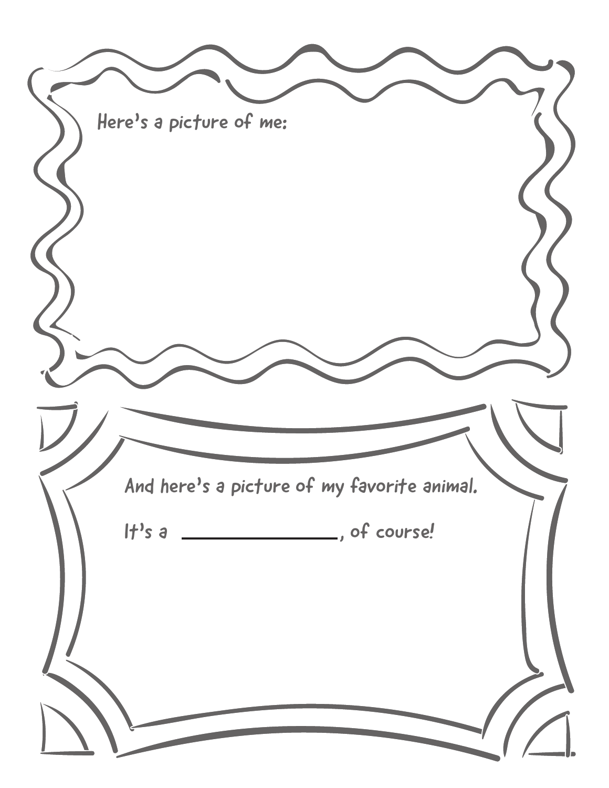